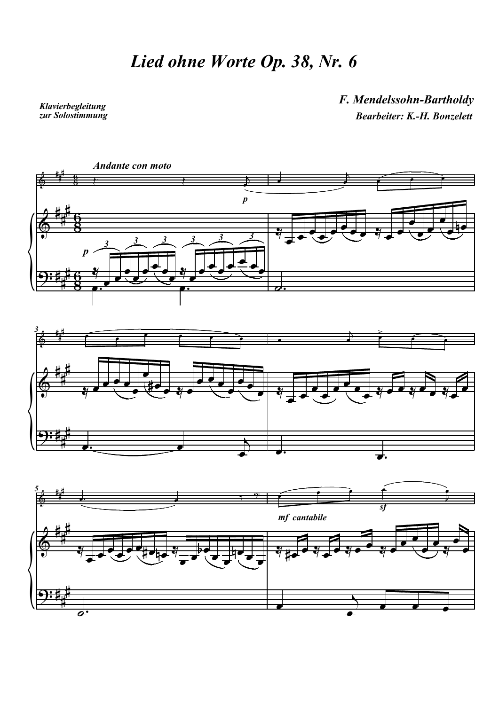Klavierbegleitung zur Solostimmung F. Mendelssohn-Bartholdy Bearbeiter: K.-H. Bonzelett

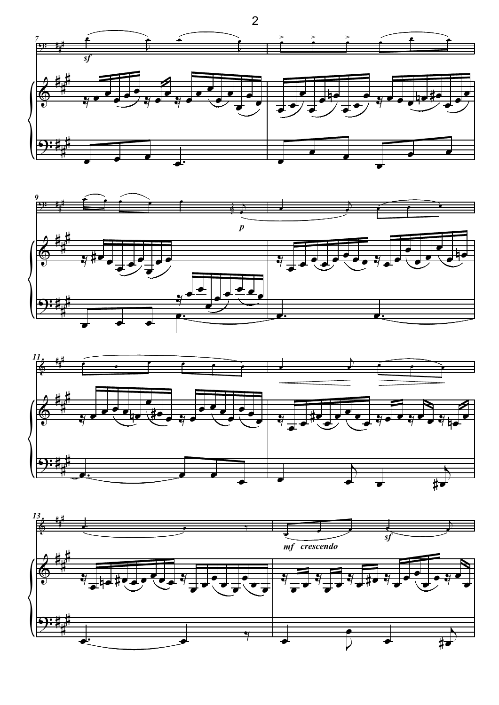







2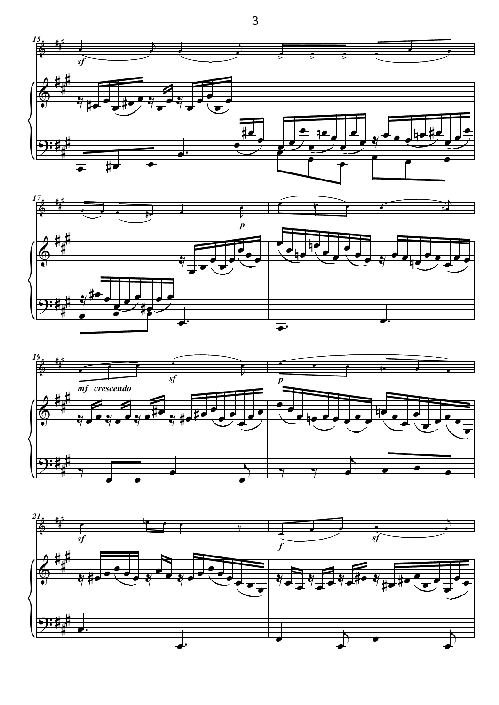







3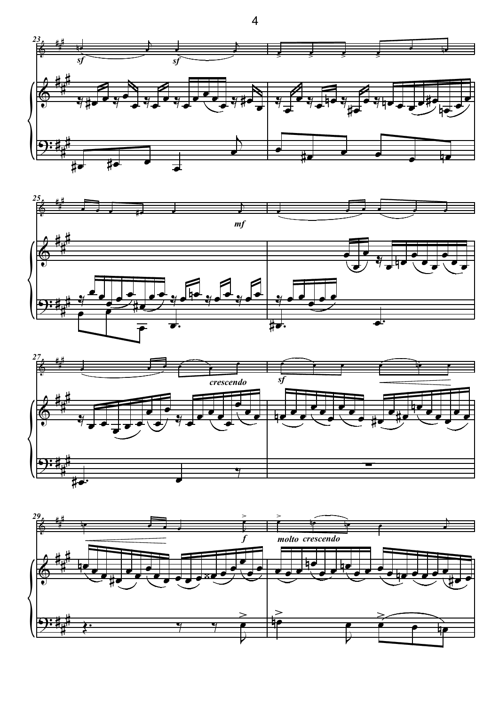





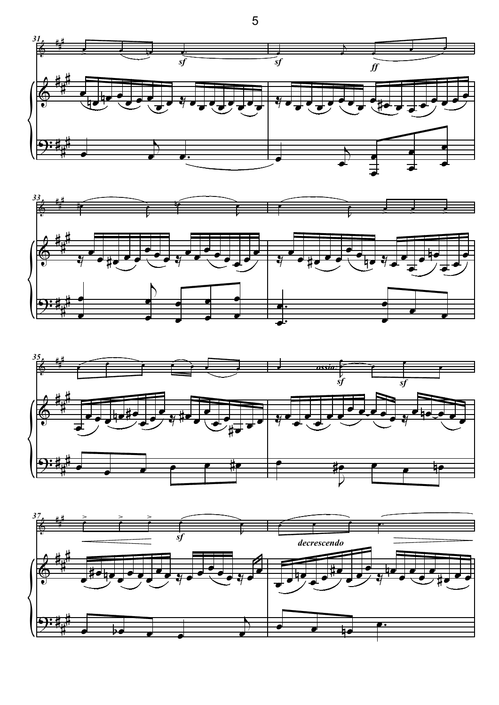





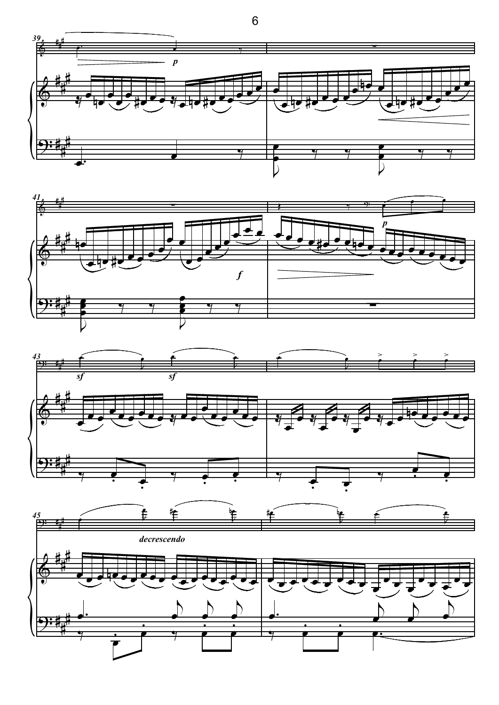